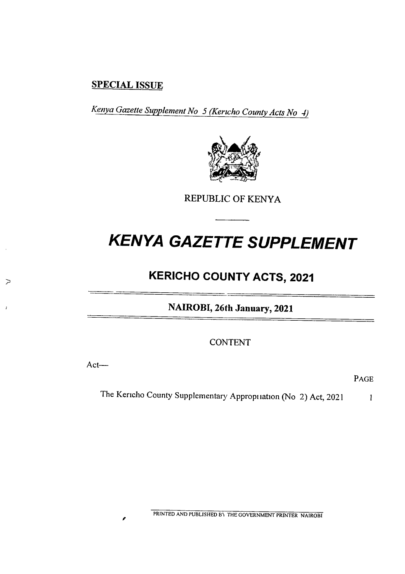## SPECIAL ISSUE

Kenya Gazette Supplement No 5 (Kericho County Acts No 4)



REPUBLIC OF KENYA

# KENYA GAZETTE SUPPLEMENT

# KERICHO COUNTY ACTS, 2021

NAIROBI, 26th January, 2021

CONTENT

Act—

 $\sum$ 

**PAGE** 

The Kericho County Supplementary Appropiiation (No 2) Act, 2021 1

PRINTED AND PUBLISHED BY THE GOVERNMENT PRINTER NAIROBI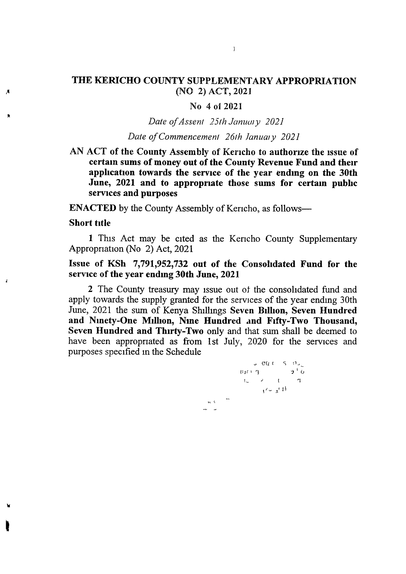### THE KERICHO COUNTY SUPPLEMENTARY APPROPRIATION (NO 2) ACT, 2021

 $\mathcal{L}$ 

#### No 4 of 2021

Date of Assent  $25$ th January  $2021$ 

#### Date of Commencement 26th January 2021

AN ACT of the County Assembly of Kencho to authorize the issue of certain sums of money out of the County Revenue Fund and their application towards the service of the year ending on the 30th June, 2021 and to appropriate those sums for certain public services and purposes

ENACTED by the County Assembly of Kencho, as follows—

#### Short title

Ă

 $\mathbf{r}$ 

1 This Act may be cited as the Kencho County Supplementary Appropriation (No 2) Act, 2021

### Issue of KSh 7,791,952,732 out of the Consolidated Fund for the service of the year ending 30th June, 2021

2 The County treasury may issue out ot the consolidated fund and apply towards the supply granted for the services of the year ending 30th June, 2021 the sum of Kenya Shillings Seven Billion, Seven Hundred and Ninety-One Million, Nine Hundred and Fifty-Two Thousand, Seven Hundred and Thirty-Two only and that sum shall be deemed to have been appropriated as from 1st July, 2020 for the services and purposes specified in the Schedule

 $\langle \phi_0 \rangle \langle \hat{V} \rangle$ 

 $\cup$   $\mathcal{O}(t + S - \Omega)$  $u_1 \mapsto \gamma$   $\theta$ <sup>1</sup>  $\theta$  $t = -1$   $t = -1$  $1^\prime - 1^\prime$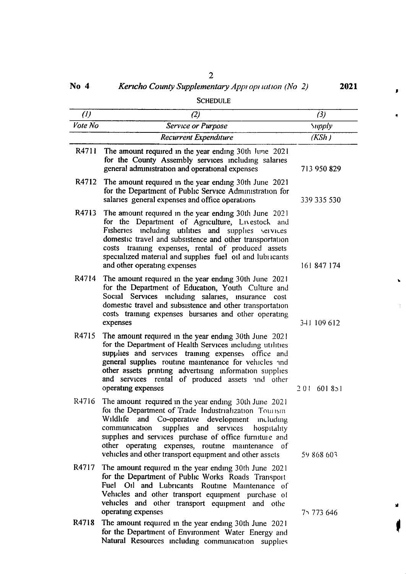| ×,<br>۰.<br>I<br>۰. |
|---------------------|
|                     |

No 4 **Kericho County Supplementary Appi opt lation (No 2)** 2021

 $\mathbf{r}$ 

 $\tilde{\mathbf{q}}$ 

 $\pmb{\bar{\textbf{v}}}$ 

 $\frac{1}{4}$ 

|               | Schedule                                                                                                                                                                                                                                                                                                                                                                                                  |               |
|---------------|-----------------------------------------------------------------------------------------------------------------------------------------------------------------------------------------------------------------------------------------------------------------------------------------------------------------------------------------------------------------------------------------------------------|---------------|
| (1)           | (2)                                                                                                                                                                                                                                                                                                                                                                                                       | (3)           |
| $V$ ote $N_O$ | Service or Purpose                                                                                                                                                                                                                                                                                                                                                                                        | Supply        |
|               | <b>Recurrent Expenditure</b>                                                                                                                                                                                                                                                                                                                                                                              | (KSh)         |
| R4711         | The amount required in the year ending 30th June 2021<br>for the County Assembly services including salaries<br>general administration and operational expenses                                                                                                                                                                                                                                           | 713 950 829   |
| R4712         | The amount required in the year ending 30th June 2021<br>for the Department of Public Service Administration for<br>salaries general expenses and office operations                                                                                                                                                                                                                                       | 339 335 530   |
| R4713         | The amount required in the year ending 30th June 2021<br>for the Department of Agriculture, Livestock and<br>Fisheries including utilities and supplies services<br>domestic travel and subsistence and other transportation<br>costs training expenses, rental of produced assets<br>specialized material and supplies fuel oil and lubiicants<br>and other operating expenses                           | 161 847 174   |
| R4714         | The amount required in the year ending 30th June 2021<br>for the Department of Education, Youth Culture and<br>Social Services including salaries, insurance cost<br>domestic travel and subsistence and other transportation<br>costs training expenses bursaries and other operating<br>expenses                                                                                                        | 341 109 612   |
| R4715         | The amount required in the year ending 30th June 2021<br>for the Department of Health Services including utilities<br>supplies and services training expenses office and<br>general supplies routine maintenance for vehicles and<br>other assets printing advertising information supplies<br>and services rental of produced assets and other<br>operating expenses                                     | 601851<br>201 |
| R4716         | The amount required in the year ending 30th June 2021<br>for the Department of Trade Industrialization Tourism<br>Wildlife<br>and Co-operative development<br>including<br>communication<br>supplies and services<br>hospitality<br>supplies and services purchase of office furniture and<br>other operating expenses, routine maintenance of<br>vehicles and other transport equipment and other assets | 59 868 603    |
| R4717         | The amount required in the year ending 30th June 2021<br>for the Department of Public Works Roads Transport<br>Fuel Oil and Lubricants Routine Maintenance of<br>Vehicles and other transport equipment purchase of<br>vehicles and other transport equipment and othe<br>operating expenses                                                                                                              | 75 773 646    |
| R4718         | The amount required in the year ending 30th June 2021<br>for the Department of Environment Water Energy and                                                                                                                                                                                                                                                                                               |               |

Natural Resources including communication supplies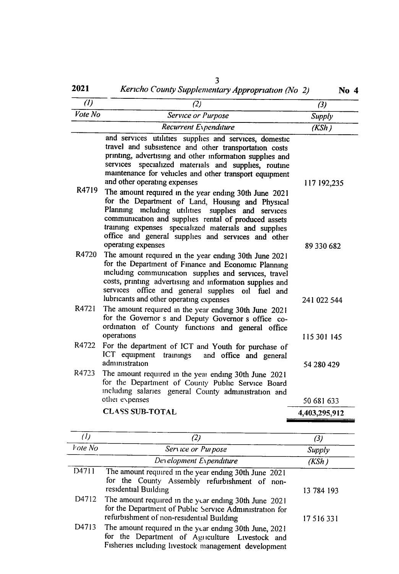| (1)     | (2)                                                                                                                                                                                                                                                                                                                                                                                                                                                                                                                                                                                                                    | (3)           |
|---------|------------------------------------------------------------------------------------------------------------------------------------------------------------------------------------------------------------------------------------------------------------------------------------------------------------------------------------------------------------------------------------------------------------------------------------------------------------------------------------------------------------------------------------------------------------------------------------------------------------------------|---------------|
| Vote No | Service or Purpose                                                                                                                                                                                                                                                                                                                                                                                                                                                                                                                                                                                                     | Supply        |
|         | Recurrent Expenditure                                                                                                                                                                                                                                                                                                                                                                                                                                                                                                                                                                                                  | (KSh)         |
| R4719   | and services utilities supplies and services, domestic<br>travel and subsistence and other transportation costs<br>printing, advertising and other information supplies and<br>specialized materials and supplies, routine<br>services<br>maintenance for vehicles and other transport equipment<br>and other operating expenses<br>The amount required in the year ending 30th June 2021<br>for the Department of Land, Housing and Physical<br>Planning including utilities<br>supplies and services<br>communication and supplies rental of produced assets<br>training expenses specialized materials and supplies | 117 192,235   |
| R4720   | office and general supplies and services and other<br>operating expenses<br>The amount required in the year ending 30th June 2021                                                                                                                                                                                                                                                                                                                                                                                                                                                                                      | 89 330 682    |
|         | for the Department of Finance and Economic Planning<br>including communication supplies and services, travel<br>costs, printing advertising and information supplies and<br>services office and general supplies oil fuel and<br>lubricants and other operating expenses                                                                                                                                                                                                                                                                                                                                               | 241 022 544   |
| R4721   | The amount required in the year ending 30th June 2021<br>for the Governor s and Deputy Governor s office co-<br>ordination of County functions and general office<br>operations                                                                                                                                                                                                                                                                                                                                                                                                                                        | 115 301 145   |
| R4722   | For the department of ICT and Youth for purchase of<br>ICT equipment<br>trainings<br>and office and general<br>administration                                                                                                                                                                                                                                                                                                                                                                                                                                                                                          | 54 280 429    |
| R4723   | The amount required in the year ending 30th June 2021<br>for the Department of County Public Service Board<br>including salaries general County administration and<br>other expenses                                                                                                                                                                                                                                                                                                                                                                                                                                   | 50 681 633    |
|         | <b>CLASS SUB-TOTAL</b>                                                                                                                                                                                                                                                                                                                                                                                                                                                                                                                                                                                                 | 4,403,295,912 |

| (1)     |                                                                                                                                                                     | Β,         |
|---------|---------------------------------------------------------------------------------------------------------------------------------------------------------------------|------------|
| Vote No | Service or Purpose                                                                                                                                                  | Supply     |
|         | Development Expenditure                                                                                                                                             | (KSh )     |
| D4711   | The amount required in the year ending 30th June 2021<br>for the County Assembly refurbishment of non-<br>residential Building                                      | 13 784 193 |
|         | D4712 The amount required in the year ending 30th June 2021<br>for the Department of Public Service Administration for<br>refurbishment of non-residential Building | 17 516 331 |
| D4713   | The amount required in the year ending 30th June, 2021<br>for the Department of Agriculture Livestock and<br>Fisheries including livestock management development   |            |

# 3